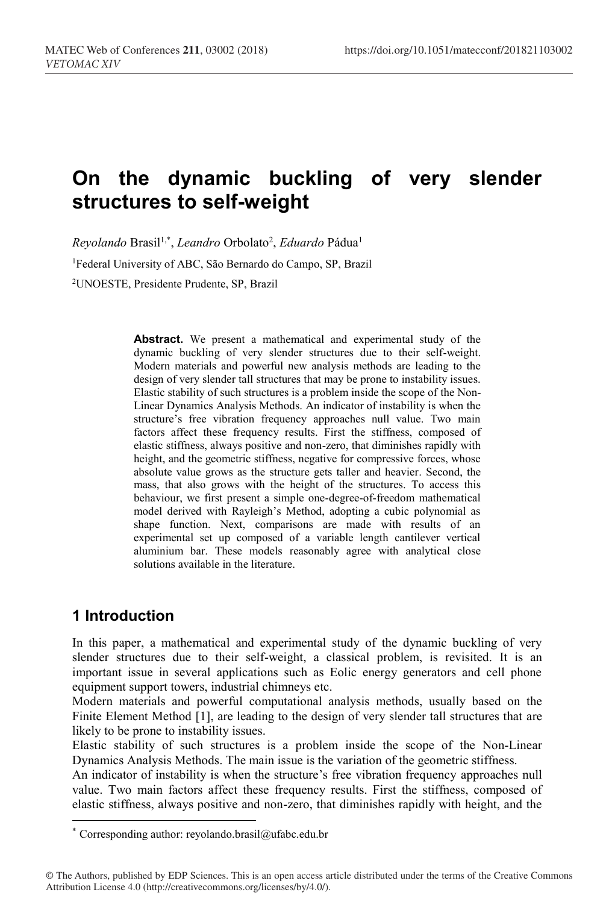# **On the dynamic buckling of very slender structures to self-weight**

*Reyolando* Brasil1,\* , *Leandro* Orbolato2 , *Eduardo* Pádua1 <sup>1</sup>Federal University of ABC, São Bernardo do Campo, SP, Brazil 2UNOESTE, Presidente Prudente, SP, Brazil

> **Abstract.** We present a mathematical and experimental study of the dynamic buckling of very slender structures due to their self-weight. Modern materials and powerful new analysis methods are leading to the design of very slender tall structures that may be prone to instability issues. Elastic stability of such structures is a problem inside the scope of the Non-Linear Dynamics Analysis Methods. An indicator of instability is when the structure's free vibration frequency approaches null value. Two main factors affect these frequency results. First the stiffness, composed of elastic stiffness, always positive and non-zero, that diminishes rapidly with height, and the geometric stiffness, negative for compressive forces, whose absolute value grows as the structure gets taller and heavier. Second, the mass, that also grows with the height of the structures. To access this behaviour, we first present a simple one-degree-of-freedom mathematical model derived with Rayleigh's Method, adopting a cubic polynomial as shape function. Next, comparisons are made with results of an experimental set up composed of a variable length cantilever vertical aluminium bar. These models reasonably agree with analytical close solutions available in the literature.

# **1 Introduction**

 $\overline{a}$ 

In this paper, a mathematical and experimental study of the dynamic buckling of very slender structures due to their self-weight, a classical problem, is revisited. It is an important issue in several applications such as Eolic energy generators and cell phone equipment support towers, industrial chimneys etc.

Modern materials and powerful computational analysis methods, usually based on the Finite Element Method [1], are leading to the design of very slender tall structures that are likely to be prone to instability issues.

Elastic stability of such structures is a problem inside the scope of the Non-Linear Dynamics Analysis Methods. The main issue is the variation of the geometric stiffness.

An indicator of instability is when the structure's free vibration frequency approaches null value. Two main factors affect these frequency results. First the stiffness, composed of elastic stiffness, always positive and non-zero, that diminishes rapidly with height, and the

<sup>\*</sup> Corresponding author: reyolando.brasil@ufabc.edu.br

<sup>©</sup> The Authors, published by EDP Sciences. This is an open access article distributed under the terms of the Creative Commons Attribution License 4.0 (http://creativecommons.org/licenses/by/4.0/).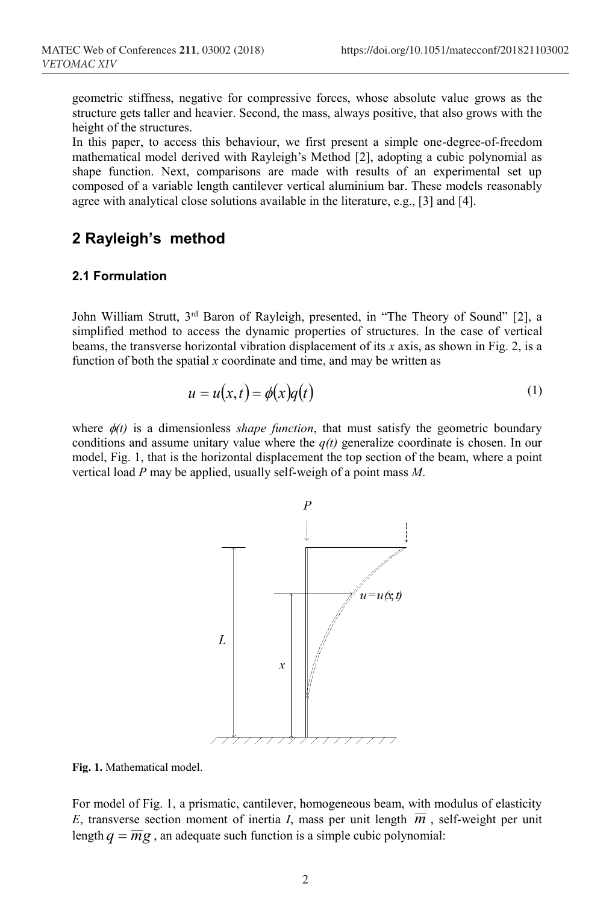geometric stiffness, negative for compressive forces, whose absolute value grows as the structure gets taller and heavier. Second, the mass, always positive, that also grows with the height of the structures.

In this paper, to access this behaviour, we first present a simple one-degree-of-freedom mathematical model derived with Rayleigh's Method [2], adopting a cubic polynomial as shape function. Next, comparisons are made with results of an experimental set up composed of a variable length cantilever vertical aluminium bar. These models reasonably agree with analytical close solutions available in the literature, e.g., [3] and [4].

# **2 Rayleigh's method**

### **2.1 Formulation**

John William Strutt, 3<sup>rd</sup> Baron of Rayleigh, presented, in "The Theory of Sound" [2], a simplified method to access the dynamic properties of structures. In the case of vertical beams, the transverse horizontal vibration displacement of its *x* axis, as shown in Fig. 2, is a function of both the spatial  $x$  coordinate and time, and may be written as

$$
u = u(x,t) = \phi(x)q(t) \tag{1}
$$

where  $\phi(t)$  is a dimensionless *shape function*, that must satisfy the geometric boundary conditions and assume unitary value where the *q(t)* generalize coordinate is chosen. In our model, Fig. 1, that is the horizontal displacement the top section of the beam, where a point vertical load *P* may be applied, usually self-weigh of a point mass *M*.



**Fig. 1.** Mathematical model.

For model of Fig. 1, a prismatic, cantilever, homogeneous beam, with modulus of elasticity *E*, transverse section moment of inertia *I*, mass per unit length  $\overline{m}$ , self-weight per unit length  $q = \overline{m}g$ , an adequate such function is a simple cubic polynomial: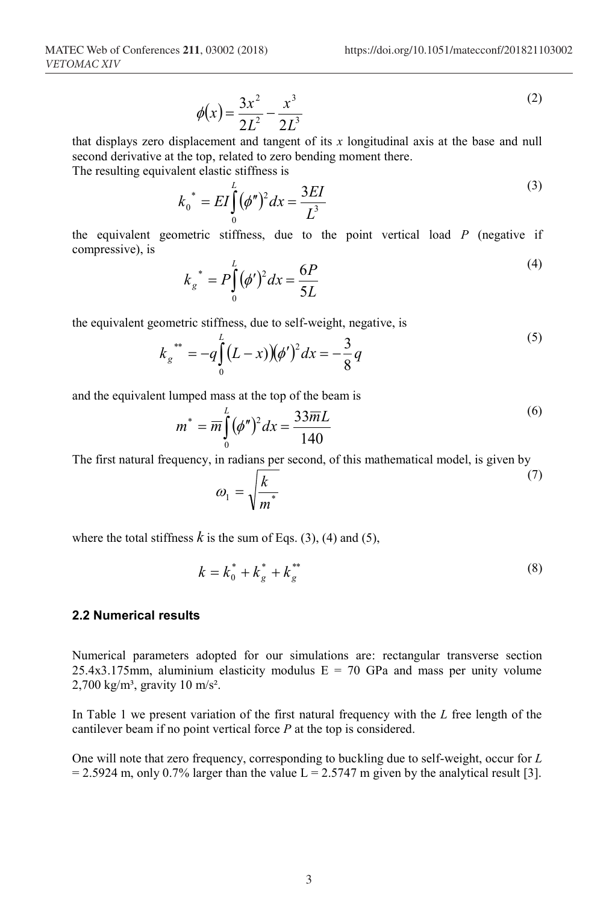$\sqrt{6}$ 

$$
\phi(x) = \frac{3x^2}{2L^2} - \frac{x^3}{2L^3} \tag{2}
$$

that displays zero displacement and tangent of its *x* longitudinal axis at the base and null second derivative at the top, related to zero bending moment there.

The resulting equivalent elastic stiffness is

$$
k_0^* = EI \int_0^L (\phi'')^2 dx = \frac{3EI}{L^3}
$$
 (3)

the equivalent geometric stiffness, due to the point vertical load *P* (negative if compressive), is  $\sqrt{4}$ 

$$
k_g^* = P \int_0^L (\phi')^2 dx = \frac{6P}{5L}
$$
 (4)

the equivalent geometric stiffness, due to self-weight, negative, is

$$
k_g^{**} = -q \int_0^L (L-x) (\phi')^2 dx = -\frac{3}{8}q
$$
\n(5)

and the equivalent lumped mass at the top of the beam is

$$
m^* = \overline{m} \int_0^L (\phi'')^2 dx = \frac{33\overline{m}L}{140}
$$
 (6)

The first natural frequency, in radians per second, of this mathematical model, is given by

$$
\omega_1 = \sqrt{\frac{k}{m^*}}
$$
 (7)

where the total stiffness  $k$  is the sum of Eqs. (3), (4) and (5),

$$
k = k_0^* + k_g^* + k_g^{**}
$$
 (8)

### **2.2 Numerical results**

Numerical parameters adopted for our simulations are: rectangular transverse section 25.4x3.175mm, aluminium elasticity modulus  $E = 70$  GPa and mass per unity volume  $2,700 \text{ kg/m}^3$ , gravity 10 m/s<sup>2</sup>.

In Table 1 we present variation of the first natural frequency with the *L* free length of the cantilever beam if no point vertical force *P* at the top is considered.

One will note that zero frequency, corresponding to buckling due to self-weight, occur for *L*  $= 2.5924$  m, only 0.7% larger than the value L = 2.5747 m given by the analytical result [3].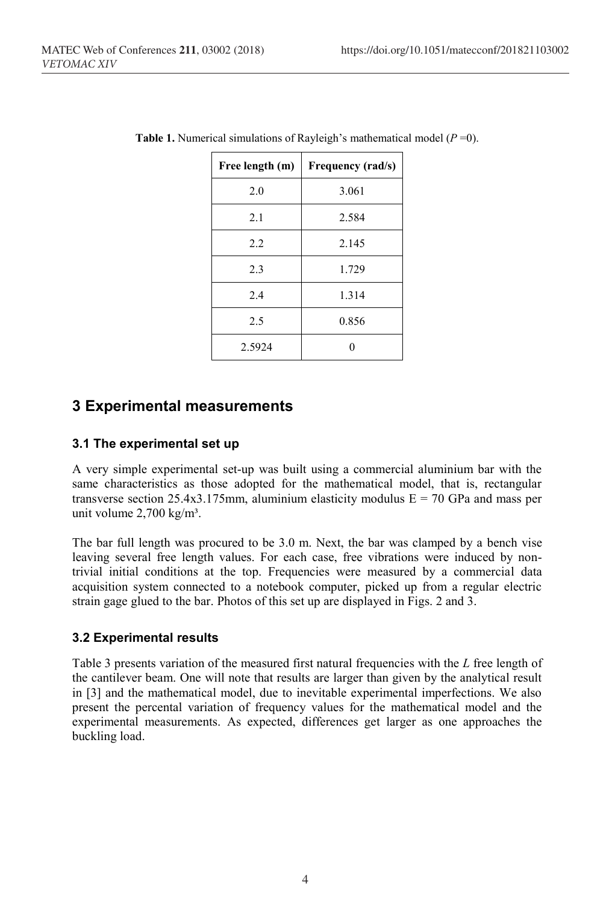| Free length (m) | Frequency (rad/s) |  |
|-----------------|-------------------|--|
| 2.0             | 3.061             |  |
| 2.1             | 2.584             |  |
| 2.2             | 2.145             |  |
| 2.3             | 1.729             |  |
| 2.4             | 1.314             |  |
| 2.5             | 0.856             |  |
| 2.5924          |                   |  |

| <b>Table 1.</b> Numerical simulations of Rayleigh's mathematical model $(P=0)$ . |  |
|----------------------------------------------------------------------------------|--|
|----------------------------------------------------------------------------------|--|

### **3 Experimental measurements**

#### **3.1 The experimental set up**

A very simple experimental set-up was built using a commercial aluminium bar with the same characteristics as those adopted for the mathematical model, that is, rectangular transverse section 25.4x3.175mm, aluminium elasticity modulus  $E = 70$  GPa and mass per unit volume  $2,700 \text{ kg/m}^3$ .

The bar full length was procured to be 3.0 m. Next, the bar was clamped by a bench vise leaving several free length values. For each case, free vibrations were induced by nontrivial initial conditions at the top. Frequencies were measured by a commercial data acquisition system connected to a notebook computer, picked up from a regular electric strain gage glued to the bar. Photos of this set up are displayed in Figs. 2 and 3.

### **3.2 Experimental results**

Table 3 presents variation of the measured first natural frequencies with the *L* free length of the cantilever beam. One will note that results are larger than given by the analytical result in [3] and the mathematical model, due to inevitable experimental imperfections. We also present the percental variation of frequency values for the mathematical model and the experimental measurements. As expected, differences get larger as one approaches the buckling load.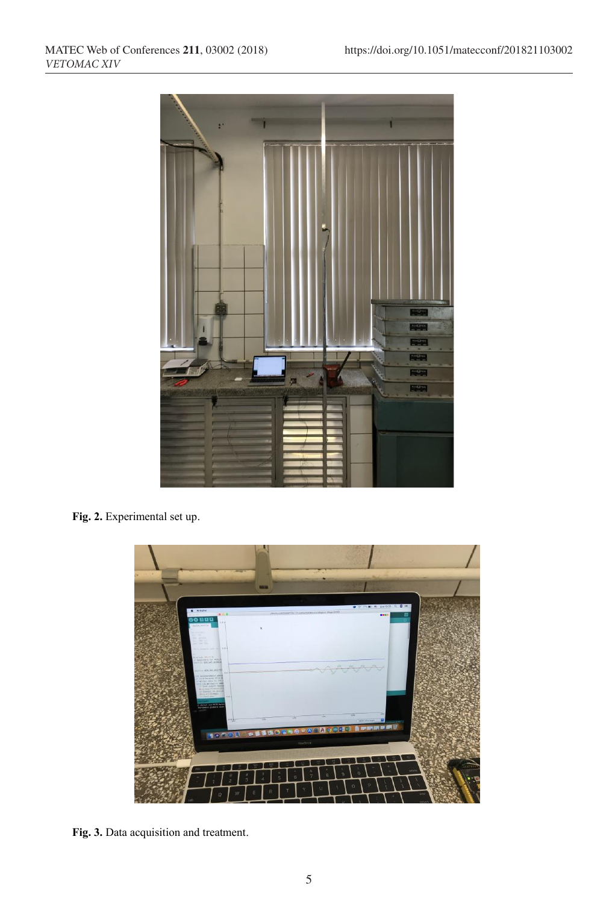

**Fig. 2.** Experimental set up.



**Fig. 3.** Data acquisition and treatment.